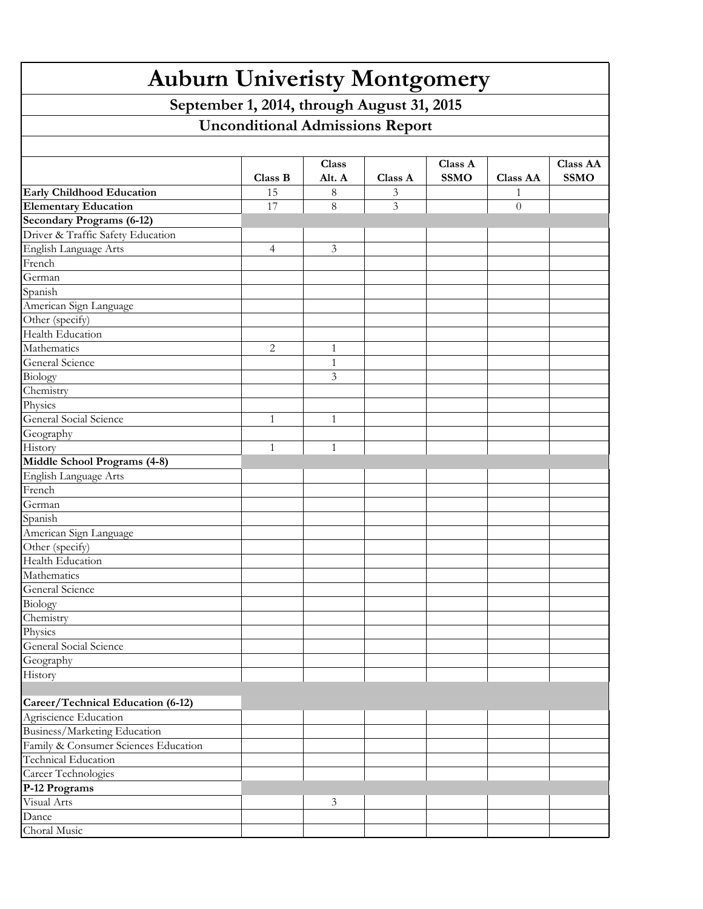| <b>Auburn Univeristy Montgomery</b>        |              |                 |         |                        |                 |                                |  |  |  |  |
|--------------------------------------------|--------------|-----------------|---------|------------------------|-----------------|--------------------------------|--|--|--|--|
| September 1, 2014, through August 31, 2015 |              |                 |         |                        |                 |                                |  |  |  |  |
| <b>Unconditional Admissions Report</b>     |              |                 |         |                        |                 |                                |  |  |  |  |
|                                            |              |                 |         |                        |                 |                                |  |  |  |  |
|                                            | Class B      | Class<br>Alt. A | Class A | Class A<br><b>SSMO</b> | <b>Class AA</b> | <b>Class AA</b><br><b>SSMO</b> |  |  |  |  |
| <b>Early Childhood Education</b>           | 15           | 8               | 3       |                        |                 |                                |  |  |  |  |
| <b>Elementary Education</b>                | 17           | 8               | 3       |                        | $\theta$        |                                |  |  |  |  |
| <b>Secondary Programs (6-12)</b>           |              |                 |         |                        |                 |                                |  |  |  |  |
| Driver & Traffic Safety Education          |              |                 |         |                        |                 |                                |  |  |  |  |
| English Language Arts                      | 4            | 3               |         |                        |                 |                                |  |  |  |  |
| French                                     |              |                 |         |                        |                 |                                |  |  |  |  |
| German                                     |              |                 |         |                        |                 |                                |  |  |  |  |
| Spanish                                    |              |                 |         |                        |                 |                                |  |  |  |  |
| American Sign Language                     |              |                 |         |                        |                 |                                |  |  |  |  |
| Other (specify)                            |              |                 |         |                        |                 |                                |  |  |  |  |
| Health Education                           |              |                 |         |                        |                 |                                |  |  |  |  |
| Mathematics                                | 2            | $\mathbf{1}$    |         |                        |                 |                                |  |  |  |  |
| General Science                            |              | 1               |         |                        |                 |                                |  |  |  |  |
| Biology                                    |              | 3               |         |                        |                 |                                |  |  |  |  |
| Chemistry                                  |              |                 |         |                        |                 |                                |  |  |  |  |
| Physics                                    |              |                 |         |                        |                 |                                |  |  |  |  |
| General Social Science                     | 1            | 1               |         |                        |                 |                                |  |  |  |  |
| Geography                                  |              |                 |         |                        |                 |                                |  |  |  |  |
| History                                    | $\mathbf{1}$ | 1               |         |                        |                 |                                |  |  |  |  |
| Middle School Programs (4-8)               |              |                 |         |                        |                 |                                |  |  |  |  |
| English Language Arts                      |              |                 |         |                        |                 |                                |  |  |  |  |
| French                                     |              |                 |         |                        |                 |                                |  |  |  |  |
| German                                     |              |                 |         |                        |                 |                                |  |  |  |  |
| Spanish                                    |              |                 |         |                        |                 |                                |  |  |  |  |
| American Sign Language                     |              |                 |         |                        |                 |                                |  |  |  |  |
| Other (specify)                            |              |                 |         |                        |                 |                                |  |  |  |  |
| Health Education                           |              |                 |         |                        |                 |                                |  |  |  |  |
| Mathematics                                |              |                 |         |                        |                 |                                |  |  |  |  |
| General Science                            |              |                 |         |                        |                 |                                |  |  |  |  |
| Biology                                    |              |                 |         |                        |                 |                                |  |  |  |  |
| Chemistry                                  |              |                 |         |                        |                 |                                |  |  |  |  |
| Physics                                    |              |                 |         |                        |                 |                                |  |  |  |  |
| General Social Science                     |              |                 |         |                        |                 |                                |  |  |  |  |
| Geography                                  |              |                 |         |                        |                 |                                |  |  |  |  |
| History                                    |              |                 |         |                        |                 |                                |  |  |  |  |
| Career/Technical Education (6-12)          |              |                 |         |                        |                 |                                |  |  |  |  |
| Agriscience Education                      |              |                 |         |                        |                 |                                |  |  |  |  |
| Business/Marketing Education               |              |                 |         |                        |                 |                                |  |  |  |  |
| Family & Consumer Sciences Education       |              |                 |         |                        |                 |                                |  |  |  |  |
| <b>Technical Education</b>                 |              |                 |         |                        |                 |                                |  |  |  |  |
| Career Technologies                        |              |                 |         |                        |                 |                                |  |  |  |  |
| P-12 Programs                              |              |                 |         |                        |                 |                                |  |  |  |  |
| Visual Arts                                |              | 3               |         |                        |                 |                                |  |  |  |  |
| Dance                                      |              |                 |         |                        |                 |                                |  |  |  |  |
| Choral Music                               |              |                 |         |                        |                 |                                |  |  |  |  |